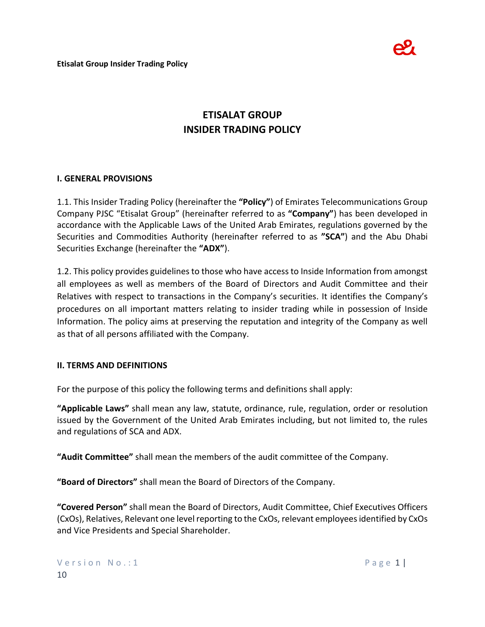

# **ETISALAT GROUP INSIDER TRADING POLICY**

### **I. GENERAL PROVISIONS**

1.1. This Insider Trading Policy (hereinafter the **"Policy"**) of Emirates Telecommunications Group Company PJSC "Etisalat Group" (hereinafter referred to as **"Company"**) has been developed in accordance with the Applicable Laws of the United Arab Emirates, regulations governed by the Securities and Commodities Authority (hereinafter referred to as **"SCA"**) and the Abu Dhabi Securities Exchange (hereinafter the **"ADX"**).

1.2. This policy provides guidelines to those who have access to Inside Information from amongst all employees as well as members of the Board of Directors and Audit Committee and their Relatives with respect to transactions in the Company's securities. It identifies the Company's procedures on all important matters relating to insider trading while in possession of Inside Information. The policy aims at preserving the reputation and integrity of the Company as well as that of all persons affiliated with the Company.

### **II. TERMS AND DEFINITIONS**

For the purpose of this policy the following terms and definitions shall apply:

**"Applicable Laws"** shall mean any law, statute, ordinance, rule, regulation, order or resolution issued by the Government of the United Arab Emirates including, but not limited to, the rules and regulations of SCA and ADX.

**"Audit Committee"** shall mean the members of the audit committee of the Company.

**"Board of Directors"** shall mean the Board of Directors of the Company.

**"Covered Person"** shall mean the Board of Directors, Audit Committee, Chief Executives Officers (CxOs), Relatives, Relevant one level reporting to the CxOs, relevant employees identified by CxOs and Vice Presidents and Special Shareholder.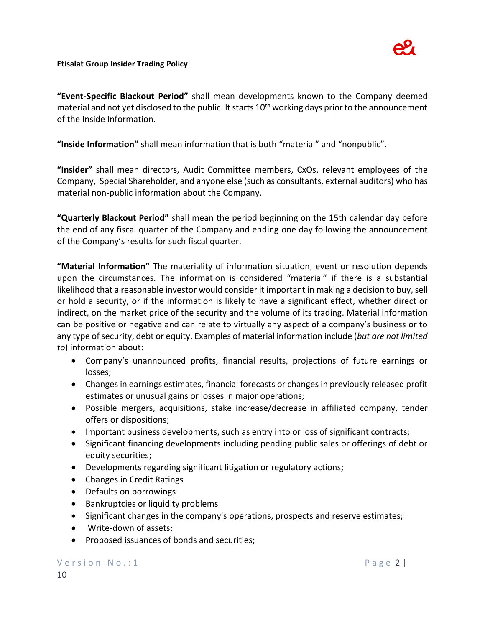

**"Event-Specific Blackout Period"** shall mean developments known to the Company deemed material and not yet disclosed to the public. It starts  $10<sup>th</sup>$  working days prior to the announcement of the Inside Information.

**"Inside Information"** shall mean information that is both "material" and "nonpublic".

**"Insider"** shall mean directors, Audit Committee members, CxOs, relevant employees of the Company, Special Shareholder, and anyone else (such as consultants, external auditors) who has material non-public information about the Company.

**"Quarterly Blackout Period"** shall mean the period beginning on the 15th calendar day before the end of any fiscal quarter of the Company and ending one day following the announcement of the Company's results for such fiscal quarter.

**"Material Information"** The materiality of information situation, event or resolution depends upon the circumstances. The information is considered "material" if there is a substantial likelihood that a reasonable investor would consider it important in making a decision to buy, sell or hold a security, or if the information is likely to have a significant effect, whether direct or indirect, on the market price of the security and the volume of its trading. Material information can be positive or negative and can relate to virtually any aspect of a company's business or to any type of security, debt or equity. Examples of material information include (*but are not limited to*) information about:

- Company's unannounced profits, financial results, projections of future earnings or losses;
- Changes in earnings estimates, financial forecasts or changes in previously released profit estimates or unusual gains or losses in major operations;
- Possible mergers, acquisitions, stake increase/decrease in affiliated company, tender offers or dispositions;
- Important business developments, such as entry into or loss of significant contracts;
- Significant financing developments including pending public sales or offerings of debt or equity securities;
- Developments regarding significant litigation or regulatory actions;
- Changes in Credit Ratings
- Defaults on borrowings
- Bankruptcies or liquidity problems
- Significant changes in the company's operations, prospects and reserve estimates;
- Write-down of assets;
- Proposed issuances of bonds and securities;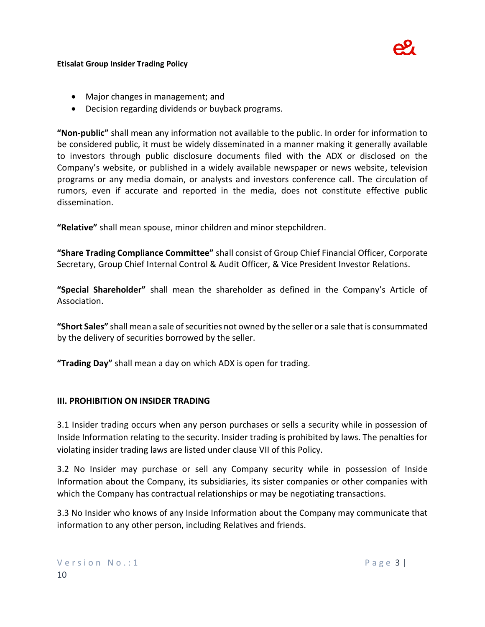

- Major changes in management; and
- Decision regarding dividends or buyback programs.

**"Non-public"** shall mean any information not available to the public. In order for information to be considered public, it must be widely disseminated in a manner making it generally available to investors through public disclosure documents filed with the ADX or disclosed on the Company's website, or published in a widely available newspaper or news website, television programs or any media domain, or analysts and investors conference call. The circulation of rumors, even if accurate and reported in the media, does not constitute effective public dissemination.

**"Relative"** shall mean spouse, minor children and minor stepchildren.

**"Share Trading Compliance Committee"** shall consist of Group Chief Financial Officer, Corporate Secretary, Group Chief Internal Control & Audit Officer, & Vice President Investor Relations.

**"Special Shareholder"** shall mean the shareholder as defined in the Company's Article of Association.

**"Short Sales"** shall mean a sale of securities not owned by the seller or a sale that is consummated by the delivery of securities borrowed by the seller.

**"Trading Day"** shall mean a day on which ADX is open for trading.

### **III. PROHIBITION ON INSIDER TRADING**

3.1 Insider trading occurs when any person purchases or sells a security while in possession of Inside Information relating to the security. Insider trading is prohibited by laws. The penalties for violating insider trading laws are listed under clause VII of this Policy.

3.2 No Insider may purchase or sell any Company security while in possession of Inside Information about the Company, its subsidiaries, its sister companies or other companies with which the Company has contractual relationships or may be negotiating transactions.

3.3 No Insider who knows of any Inside Information about the Company may communicate that information to any other person, including Relatives and friends.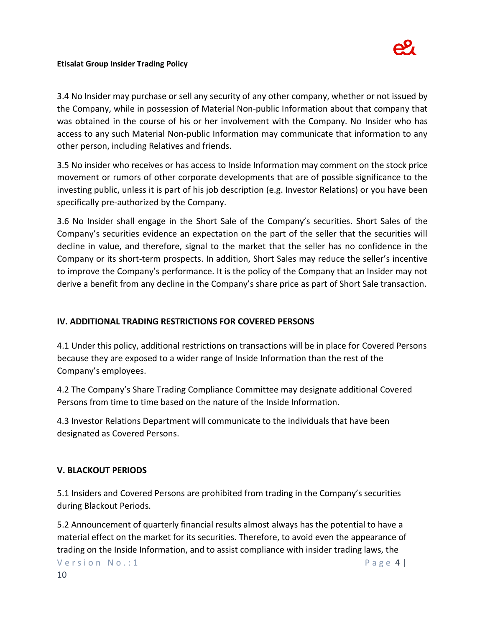

3.4 No Insider may purchase or sell any security of any other company, whether or not issued by the Company, while in possession of Material Non-public Information about that company that was obtained in the course of his or her involvement with the Company. No Insider who has access to any such Material Non-public Information may communicate that information to any other person, including Relatives and friends.

3.5 No insider who receives or has access to Inside Information may comment on the stock price movement or rumors of other corporate developments that are of possible significance to the investing public, unless it is part of his job description (e.g. Investor Relations) or you have been specifically pre-authorized by the Company.

3.6 No Insider shall engage in the Short Sale of the Company's securities. Short Sales of the Company's securities evidence an expectation on the part of the seller that the securities will decline in value, and therefore, signal to the market that the seller has no confidence in the Company or its short-term prospects. In addition, Short Sales may reduce the seller's incentive to improve the Company's performance. It is the policy of the Company that an Insider may not derive a benefit from any decline in the Company's share price as part of Short Sale transaction.

### **IV. ADDITIONAL TRADING RESTRICTIONS FOR COVERED PERSONS**

4.1 Under this policy, additional restrictions on transactions will be in place for Covered Persons because they are exposed to a wider range of Inside Information than the rest of the Company's employees.

4.2 The Company's Share Trading Compliance Committee may designate additional Covered Persons from time to time based on the nature of the Inside Information.

4.3 Investor Relations Department will communicate to the individuals that have been designated as Covered Persons.

### **V. BLACKOUT PERIODS**

5.1 Insiders and Covered Persons are prohibited from trading in the Company's securities during Blackout Periods.

5.2 Announcement of quarterly financial results almost always has the potential to have a material effect on the market for its securities. Therefore, to avoid even the appearance of trading on the Inside Information, and to assist compliance with insider trading laws, the

Version No.:1 Page 4 |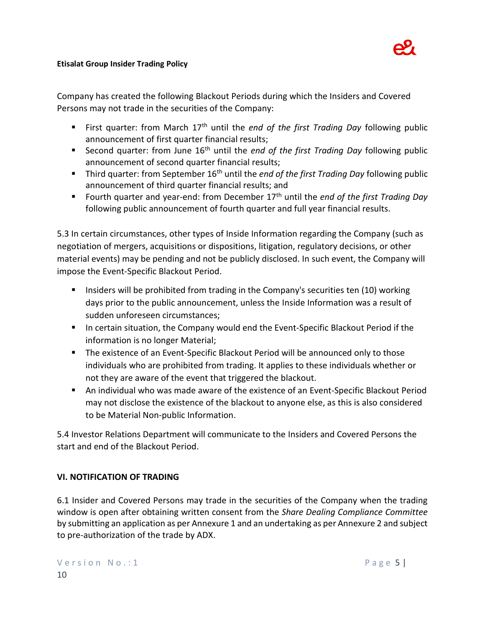

Company has created the following Blackout Periods during which the Insiders and Covered Persons may not trade in the securities of the Company:

- First quarter: from March 17th until the *end of the first Trading Day* following public announcement of first quarter financial results;
- Second quarter: from June 16th until the *end of the first Trading Day* following public announcement of second quarter financial results;
- Third quarter: from September 16<sup>th</sup> until the *end of the first Trading Day* following public announcement of third quarter financial results; and
- Fourth quarter and year-end: from December 17th until the *end of the first Trading Day* following public announcement of fourth quarter and full year financial results.

5.3 In certain circumstances, other types of Inside Information regarding the Company (such as negotiation of mergers, acquisitions or dispositions, litigation, regulatory decisions, or other material events) may be pending and not be publicly disclosed. In such event, the Company will impose the Event-Specific Blackout Period.

- **Insiders will be prohibited from trading in the Company's securities ten (10) working** days prior to the public announcement, unless the Inside Information was a result of sudden unforeseen circumstances;
- In certain situation, the Company would end the Event-Specific Blackout Period if the information is no longer Material;
- **The existence of an Event-Specific Blackout Period will be announced only to those** individuals who are prohibited from trading. It applies to these individuals whether or not they are aware of the event that triggered the blackout.
- An individual who was made aware of the existence of an Event-Specific Blackout Period may not disclose the existence of the blackout to anyone else, as this is also considered to be Material Non-public Information.

5.4 Investor Relations Department will communicate to the Insiders and Covered Persons the start and end of the Blackout Period.

# **VI. NOTIFICATION OF TRADING**

6.1 Insider and Covered Persons may trade in the securities of the Company when the trading window is open after obtaining written consent from the *Share Dealing Compliance Committee* by submitting an application as per Annexure 1 and an undertaking as per Annexure 2 and subject to pre-authorization of the trade by ADX.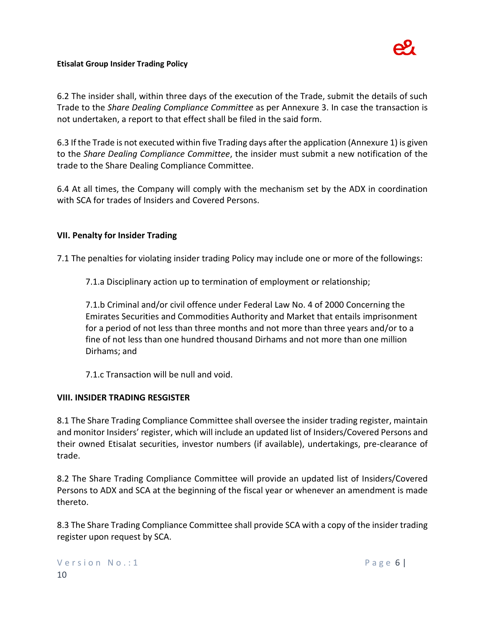

6.2 The insider shall, within three days of the execution of the Trade, submit the details of such Trade to the *Share Dealing Compliance Committee* as per Annexure 3. In case the transaction is not undertaken, a report to that effect shall be filed in the said form.

6.3 If the Trade is not executed within five Trading days after the application (Annexure 1) is given to the *Share Dealing Compliance Committee*, the insider must submit a new notification of the trade to the Share Dealing Compliance Committee.

6.4 At all times, the Company will comply with the mechanism set by the ADX in coordination with SCA for trades of Insiders and Covered Persons.

### **VII. Penalty for Insider Trading**

7.1 The penalties for violating insider trading Policy may include one or more of the followings:

7.1.a Disciplinary action up to termination of employment or relationship;

7.1.b Criminal and/or civil offence under Federal Law No. 4 of 2000 Concerning the Emirates Securities and Commodities Authority and Market that entails imprisonment for a period of not less than three months and not more than three years and/or to a fine of not less than one hundred thousand Dirhams and not more than one million Dirhams; and

7.1.c Transaction will be null and void.

### **VIII. INSIDER TRADING RESGISTER**

8.1 The Share Trading Compliance Committee shall oversee the insider trading register, maintain and monitor Insiders' register, which will include an updated list of Insiders/Covered Persons and their owned Etisalat securities, investor numbers (if available), undertakings, pre-clearance of trade.

8.2 The Share Trading Compliance Committee will provide an updated list of Insiders/Covered Persons to ADX and SCA at the beginning of the fiscal year or whenever an amendment is made thereto.

8.3 The Share Trading Compliance Committee shall provide SCA with a copy of the insider trading register upon request by SCA.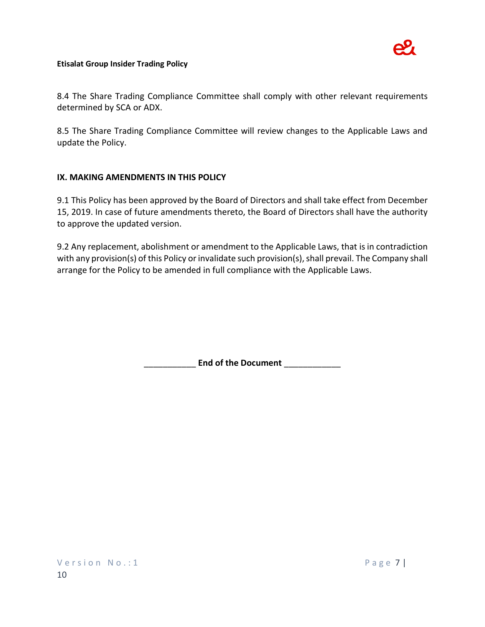

8.4 The Share Trading Compliance Committee shall comply with other relevant requirements determined by SCA or ADX.

8.5 The Share Trading Compliance Committee will review changes to the Applicable Laws and update the Policy.

### **IX. MAKING AMENDMENTS IN THIS POLICY**

9.1 This Policy has been approved by the Board of Directors and shall take effect from December 15, 2019. In case of future amendments thereto, the Board of Directors shall have the authority to approve the updated version.

9.2 Any replacement, abolishment or amendment to the Applicable Laws, that is in contradiction with any provision(s) of this Policy or invalidate such provision(s), shall prevail. The Company shall arrange for the Policy to be amended in full compliance with the Applicable Laws.

\_\_\_\_\_\_\_\_\_\_\_ **End of the Document** \_\_\_\_\_\_\_\_\_\_\_\_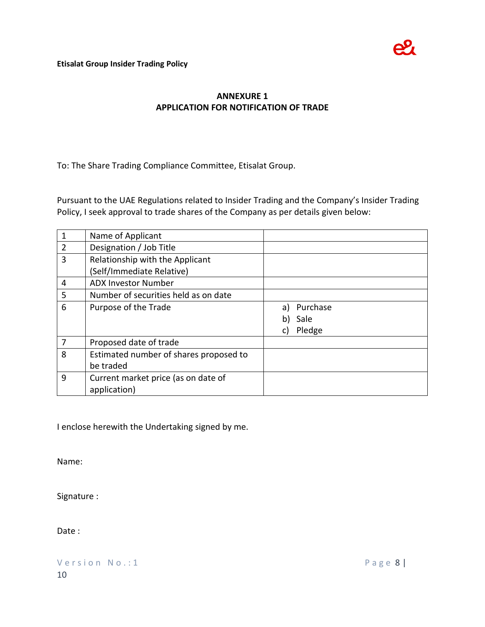# **ANNEXURE 1 APPLICATION FOR NOTIFICATION OF TRADE**

To: The Share Trading Compliance Committee, Etisalat Group.

Pursuant to the UAE Regulations related to Insider Trading and the Company's Insider Trading Policy, I seek approval to trade shares of the Company as per details given below:

| 1              | Name of Applicant                      |                |
|----------------|----------------------------------------|----------------|
| $\overline{2}$ | Designation / Job Title                |                |
| 3              | Relationship with the Applicant        |                |
|                | (Self/Immediate Relative)              |                |
| 4              | <b>ADX Investor Number</b>             |                |
| 5              | Number of securities held as on date   |                |
| 6              | Purpose of the Trade                   | Purchase<br>a) |
|                |                                        | Sale<br>b)     |
|                |                                        | Pledge<br>C)   |
| 7              | Proposed date of trade                 |                |
| 8              | Estimated number of shares proposed to |                |
|                | be traded                              |                |
| 9              | Current market price (as on date of    |                |
|                | application)                           |                |

I enclose herewith the Undertaking signed by me.

Name:

Signature :

Date :

Version No.: 1 Page 8 | 10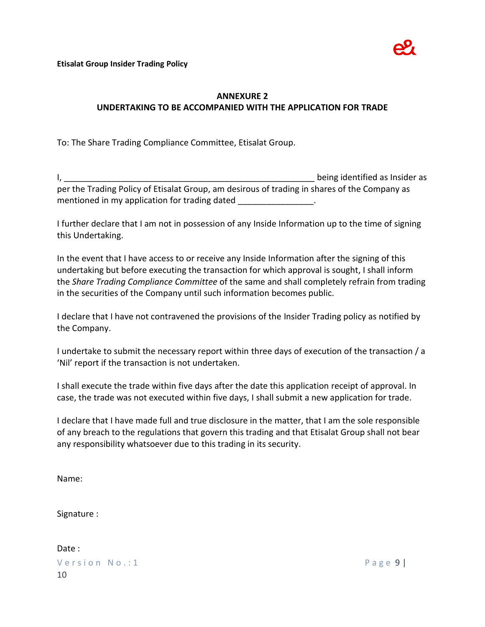

## **ANNEXURE 2 UNDERTAKING TO BE ACCOMPANIED WITH THE APPLICATION FOR TRADE**

To: The Share Trading Compliance Committee, Etisalat Group.

I, \_\_\_\_\_\_\_\_\_\_\_\_\_\_\_\_\_\_\_\_\_\_\_\_\_\_\_\_\_\_\_\_\_\_\_\_\_\_\_\_\_\_\_\_\_\_\_\_\_\_\_\_\_ being identified as Insider as per the Trading Policy of Etisalat Group, am desirous of trading in shares of the Company as mentioned in my application for trading dated  $\blacksquare$ 

I further declare that I am not in possession of any Inside Information up to the time of signing this Undertaking.

In the event that I have access to or receive any Inside Information after the signing of this undertaking but before executing the transaction for which approval is sought, I shall inform the *Share Trading Compliance Committee* of the same and shall completely refrain from trading in the securities of the Company until such information becomes public.

I declare that I have not contravened the provisions of the Insider Trading policy as notified by the Company.

I undertake to submit the necessary report within three days of execution of the transaction / a 'Nil' report if the transaction is not undertaken.

I shall execute the trade within five days after the date this application receipt of approval. In case, the trade was not executed within five days, I shall submit a new application for trade.

I declare that I have made full and true disclosure in the matter, that I am the sole responsible of any breach to the regulations that govern this trading and that Etisalat Group shall not bear any responsibility whatsoever due to this trading in its security.

Name:

Signature :

Version No.:1 Page 9 | 10 Date :